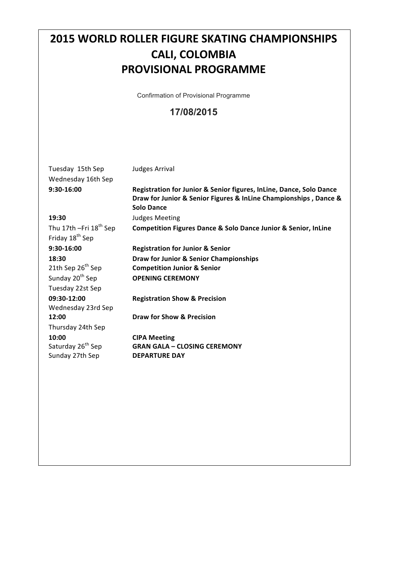# **2015 WORLD ROLLER FIGURE SKATING CHAMPIONSHIPS CALI, COLOMBIA PROVISIONAL PROGRAMME**

Confirmation of Provisional Programme

#### **17/08/2015**

Tuesday 15th Sep Judges Arrival Wednesday 16th Sep

**9:30-16:00 Registration for Junior & Senior figures, InLine, Dance, Solo Dance Draw for Junior & Senior Figures & InLine Championships , Dance & Solo Dance** 19:30 **Judges Meeting** Thu 17th -Fri 18<sup>th</sup> Sep **Competition Figures Dance & Solo Dance Junior & Senior, InLine** Friday 18<sup>th</sup> Sep **9:30-16:00 Registration for Junior & Senior 18:30 Draw for Junior & Senior Championships**<br> **21th Sep 26<sup>th</sup> Sep <b>Competition Junior & Senior Competition Junior & Senior** Sunday 20<sup>th</sup> Sep **OPENING CEREMONY** Tuesday 22st Sep **09:30-12:00 Registration Show & Precision** Wednesday 23rd Sep **12:00 Draw for Show & Precision** Thursday 24th Sep **10:00 CIPA Meeting** Saturday 26<sup>th</sup> Sep **GRAN GALA – CLOSING CEREMONY** Sunday 27th Sep **DEPARTURE DAY**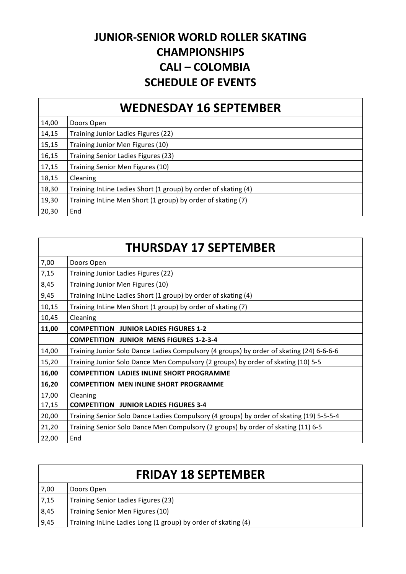## **JUNIOR-SENIOR WORLD ROLLER SKATING CHAMPIONSHIPS CALI – COLOMBIA SCHEDULE OF EVENTS**

### **WEDNESDAY 16 SEPTEMBER**

| 14,00 | Doors Open                                                     |
|-------|----------------------------------------------------------------|
| 14,15 | Training Junior Ladies Figures (22)                            |
| 15,15 | Training Junior Men Figures (10)                               |
| 16,15 | Training Senior Ladies Figures (23)                            |
| 17,15 | Training Senior Men Figures (10)                               |
| 18,15 | Cleaning                                                       |
| 18,30 | Training InLine Ladies Short (1 group) by order of skating (4) |
| 19,30 | Training InLine Men Short (1 group) by order of skating (7)    |
| 20,30 | End                                                            |

| 7,00  | Doors Open                                                                               |
|-------|------------------------------------------------------------------------------------------|
| 7,15  | Training Junior Ladies Figures (22)                                                      |
| 8,45  | Training Junior Men Figures (10)                                                         |
| 9,45  | Training InLine Ladies Short (1 group) by order of skating (4)                           |
| 10,15 | Training InLine Men Short (1 group) by order of skating (7)                              |
| 10,45 | Cleaning                                                                                 |
| 11,00 | <b>COMPETITION JUNIOR LADIES FIGURES 1-2</b>                                             |
|       | <b>COMPETITION JUNIOR MENS FIGURES 1-2-3-4</b>                                           |
| 14,00 | Training Junior Solo Dance Ladies Compulsory (4 groups) by order of skating (24) 6-6-6-6 |
| 15,20 | Training Junior Solo Dance Men Compulsory (2 groups) by order of skating (10) 5-5        |
| 16,00 | <b>COMPETITION LADIES INLINE SHORT PROGRAMME</b>                                         |
| 16,20 | <b>COMPETITION MEN INLINE SHORT PROGRAMME</b>                                            |
| 17,00 | Cleaning                                                                                 |
| 17,15 | <b>COMPETITION JUNIOR LADIES FIGURES 3-4</b>                                             |
| 20,00 | Training Senior Solo Dance Ladies Compulsory (4 groups) by order of skating (19) 5-5-5-4 |
| 21,20 | Training Senior Solo Dance Men Compulsory (2 groups) by order of skating (11) 6-5        |
| 22,00 | End                                                                                      |

| <b>FRIDAY 18 SEPTEMBER</b> |                                                               |
|----------------------------|---------------------------------------------------------------|
| 7,00                       | Doors Open                                                    |
| 7,15                       | Training Senior Ladies Figures (23)                           |
| 8,45                       | Training Senior Men Figures (10)                              |
| 9,45                       | Training InLine Ladies Long (1 group) by order of skating (4) |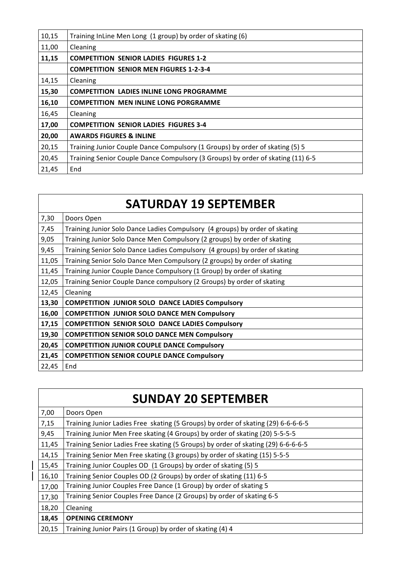| 10,15 | Training InLine Men Long (1 group) by order of skating (6)                      |
|-------|---------------------------------------------------------------------------------|
| 11,00 | Cleaning                                                                        |
| 11,15 | <b>COMPETITION SENIOR LADIES FIGURES 1-2</b>                                    |
|       | <b>COMPETITION SENIOR MEN FIGURES 1-2-3-4</b>                                   |
| 14,15 | Cleaning                                                                        |
| 15,30 | <b>COMPETITION LADIES INLINE LONG PROGRAMME</b>                                 |
| 16,10 | <b>COMPETITION MEN INLINE LONG PORGRAMME</b>                                    |
| 16,45 | Cleaning                                                                        |
| 17,00 | <b>COMPETITION SENIOR LADIES FIGURES 3-4</b>                                    |
| 20,00 | <b>AWARDS FIGURES &amp; INLINE</b>                                              |
| 20,15 | Training Junior Couple Dance Compulsory (1 Groups) by order of skating (5) 5    |
| 20,45 | Training Senior Couple Dance Compulsory (3 Groups) by order of skating (11) 6-5 |
| 21,45 | End                                                                             |

| <b>SATURDAY 19 SEPTEMBER</b> |                                                                             |
|------------------------------|-----------------------------------------------------------------------------|
| 7,30                         | Doors Open                                                                  |
| 7,45                         | Training Junior Solo Dance Ladies Compulsory (4 groups) by order of skating |
| 9,05                         | Training Junior Solo Dance Men Compulsory (2 groups) by order of skating    |
| 9,45                         | Training Senior Solo Dance Ladies Compulsory (4 groups) by order of skating |
| 11,05                        | Training Senior Solo Dance Men Compulsory (2 groups) by order of skating    |
| 11,45                        | Training Junior Couple Dance Compulsory (1 Group) by order of skating       |
| 12,05                        | Training Senior Couple Dance compulsory (2 Groups) by order of skating      |
| 12,45                        | Cleaning                                                                    |
| 13,30                        | <b>COMPETITION JUNIOR SOLO DANCE LADIES Compulsory</b>                      |
| 16,00                        | <b>COMPETITION JUNIOR SOLO DANCE MEN Compulsory</b>                         |
| 17,15                        | <b>COMPETITION SENIOR SOLO DANCE LADIES Compulsory</b>                      |
| 19,30                        | <b>COMPETITION SENIOR SOLO DANCE MEN Compulsory</b>                         |
| 20,45                        | <b>COMPETITION JUNIOR COUPLE DANCE Compulsory</b>                           |
| 21,45                        | <b>COMPETITION SENIOR COUPLE DANCE Compulsory</b>                           |
| 22,45                        | End                                                                         |

| <b>SUNDAY 20 SEPTEMBER</b> |                                                                                   |
|----------------------------|-----------------------------------------------------------------------------------|
| 7,00                       | Doors Open                                                                        |
| 7,15                       | Training Junior Ladies Free skating (5 Groups) by order of skating (29) 6-6-6-6-5 |
| 9,45                       | Training Junior Men Free skating (4 Groups) by order of skating (20) 5-5-5-5      |
| 11,45                      | Training Senior Ladies Free skating (5 Groups) by order of skating (29) 6-6-6-6-5 |
| 14,15                      | Training Senior Men Free skating (3 groups) by order of skating (15) 5-5-5        |
| 15,45                      | Training Junior Couples OD (1 Groups) by order of skating (5) 5                   |
| 16,10                      | Training Senior Couples OD (2 Groups) by order of skating (11) 6-5                |
| 17,00                      | Training Junior Couples Free Dance (1 Group) by order of skating 5                |
| 17,30                      | Training Senior Couples Free Dance (2 Groups) by order of skating 6-5             |
| 18,20                      | Cleaning                                                                          |
| 18,45                      | <b>OPENING CEREMONY</b>                                                           |
| 20,15                      | Training Junior Pairs (1 Group) by order of skating (4) 4                         |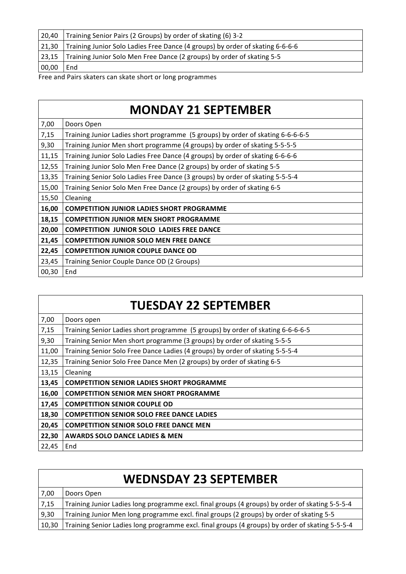| 20,40 | Training Senior Pairs (2 Groups) by order of skating (6) 3-2                  |
|-------|-------------------------------------------------------------------------------|
| 21,30 | Training Junior Solo Ladies Free Dance (4 groups) by order of skating 6-6-6-6 |
|       | 23,15 Training Junior Solo Men Free Dance (2 groups) by order of skating 5-5  |
| 00,00 | End                                                                           |

Free and Pairs skaters can skate short or long programmes

|       | <b>MONDAY 21 SEPTEMBER</b>                                                      |
|-------|---------------------------------------------------------------------------------|
| 7,00  | Doors Open                                                                      |
| 7,15  | Training Junior Ladies short programme (5 groups) by order of skating 6-6-6-6-5 |
| 9,30  | Training Junior Men short programme (4 groups) by order of skating 5-5-5-5      |
| 11,15 | Training Junior Solo Ladies Free Dance (4 groups) by order of skating 6-6-6-6   |
| 12,55 | Training Junior Solo Men Free Dance (2 groups) by order of skating 5-5          |
| 13,35 | Training Senior Solo Ladies Free Dance (3 groups) by order of skating 5-5-5-4   |
| 15,00 | Training Senior Solo Men Free Dance (2 groups) by order of skating 6-5          |
| 15,50 | Cleaning                                                                        |
| 16,00 | <b>COMPETITION JUNIOR LADIES SHORT PROGRAMME</b>                                |
| 18,15 | <b>COMPETITION JUNIOR MEN SHORT PROGRAMME</b>                                   |
| 20,00 | <b>COMPETITION JUNIOR SOLO LADIES FREE DANCE</b>                                |
| 21,45 | <b>COMPETITION JUNIOR SOLO MEN FREE DANCE</b>                                   |
| 22,45 | <b>COMPETITION JUNIOR COUPLE DANCE OD</b>                                       |
| 23,45 | Training Senior Couple Dance OD (2 Groups)                                      |
| 00,30 | End                                                                             |

| <b>TUESDAY 22 SEPTEMBER</b> |                                                                                 |
|-----------------------------|---------------------------------------------------------------------------------|
| 7,00                        | Doors open                                                                      |
| 7,15                        | Training Senior Ladies short programme (5 groups) by order of skating 6-6-6-6-5 |
| 9,30                        | Training Senior Men short programme (3 groups) by order of skating 5-5-5        |
| 11,00                       | Training Senior Solo Free Dance Ladies (4 groups) by order of skating 5-5-5-4   |
| 12,35                       | Training Senior Solo Free Dance Men (2 groups) by order of skating 6-5          |
| 13,15                       | Cleaning                                                                        |
| 13,45                       | <b>COMPETITION SENIOR LADIES SHORT PROGRAMME</b>                                |
| 16,00                       | <b>COMPETITION SENIOR MEN SHORT PROGRAMME</b>                                   |
| 17,45                       | <b>COMPETITION SENIOR COUPLE OD</b>                                             |
| 18,30                       | <b>COMPETITION SENIOR SOLO FREE DANCE LADIES</b>                                |
| 20,45                       | <b>COMPETITION SENIOR SOLO FREE DANCE MEN</b>                                   |
| 22,30                       | <b>AWARDS SOLO DANCE LADIES &amp; MEN</b>                                       |
| 22,45                       | End                                                                             |

| <b>WEDNSDAY 23 SEPTEMBER</b> |                                                                                                 |
|------------------------------|-------------------------------------------------------------------------------------------------|
| 7,00                         | Doors Open                                                                                      |
| 7,15                         | Training Junior Ladies long programme excl. final groups (4 groups) by order of skating 5-5-5-4 |
| 9,30                         | Training Junior Men long programme excl. final groups (2 groups) by order of skating 5-5        |
| 10,30                        | Training Senior Ladies long programme excl. final groups (4 groups) by order of skating 5-5-5-4 |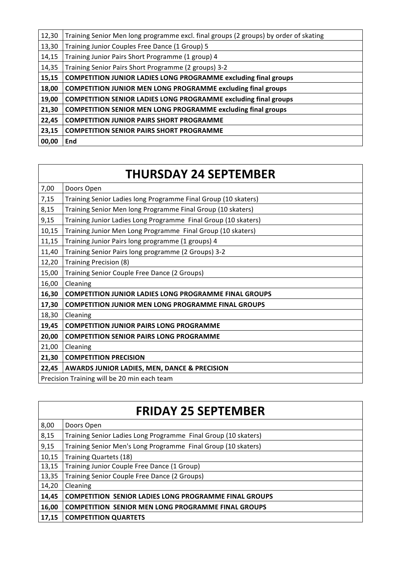| 12,30 | Training Senior Men long programme excl. final groups (2 groups) by order of skating |
|-------|--------------------------------------------------------------------------------------|
| 13,30 | Training Junior Couples Free Dance (1 Group) 5                                       |
| 14,15 | Training Junior Pairs Short Programme (1 group) 4                                    |
| 14,35 | Training Senior Pairs Short Programme (2 groups) 3-2                                 |
| 15,15 | <b>COMPETITION JUNIOR LADIES LONG PROGRAMME excluding final groups</b>               |
| 18,00 | <b>COMPETITION JUNIOR MEN LONG PROGRAMME excluding final groups</b>                  |
| 19,00 | <b>COMPETITION SENIOR LADIES LONG PROGRAMME excluding final groups</b>               |
| 21,30 | <b>COMPETITION SENIOR MEN LONG PROGRAMME excluding final groups</b>                  |
| 22,45 | <b>COMPETITION JUNIOR PAIRS SHORT PROGRAMME</b>                                      |
| 23,15 | <b>COMPETITION SENIOR PAIRS SHORT PROGRAMME</b>                                      |
| 00,00 | <b>End</b>                                                                           |

# **THURSDAY 24 SEPTEMBER**

| 7,00                                        | Doors Open                                                     |
|---------------------------------------------|----------------------------------------------------------------|
| 7,15                                        | Training Senior Ladies long Programme Final Group (10 skaters) |
| 8,15                                        | Training Senior Men long Programme Final Group (10 skaters)    |
| 9,15                                        | Training Junior Ladies Long Programme Final Group (10 skaters) |
| 10,15                                       | Training Junior Men Long Programme Final Group (10 skaters)    |
| 11,15                                       | Training Junior Pairs long programme (1 groups) 4              |
| 11,40                                       | Training Senior Pairs long programme (2 Groups) 3-2            |
| 12,20                                       | Training Precision (8)                                         |
| 15,00                                       | Training Senior Couple Free Dance (2 Groups)                   |
| 16,00                                       | Cleaning                                                       |
| 16,30                                       | <b>COMPETITION JUNIOR LADIES LONG PROGRAMME FINAL GROUPS</b>   |
| 17,30                                       | <b>COMPETITION JUNIOR MEN LONG PROGRAMME FINAL GROUPS</b>      |
| 18,30                                       | Cleaning                                                       |
| 19,45                                       | <b>COMPETITION JUNIOR PAIRS LONG PROGRAMME</b>                 |
| 20,00                                       | <b>COMPETITION SENIOR PAIRS LONG PROGRAMME</b>                 |
| 21,00                                       | Cleaning                                                       |
| 21,30                                       | <b>COMPETITION PRECISION</b>                                   |
| 22,45                                       | <b>AWARDS JUNIOR LADIES, MEN, DANCE &amp; PRECISION</b>        |
| Precision Training will be 20 min each team |                                                                |

| <b>FRIDAY 25 SEPTEMBER</b> |                                                                |  |
|----------------------------|----------------------------------------------------------------|--|
| 8,00                       | Doors Open                                                     |  |
| 8,15                       | Training Senior Ladies Long Programme Final Group (10 skaters) |  |
| 9,15                       | Training Senior Men's Long Programme Final Group (10 skaters)  |  |
| 10,15                      | <b>Training Quartets (18)</b>                                  |  |
| 13,15                      | Training Junior Couple Free Dance (1 Group)                    |  |
| 13,35                      | Training Senior Couple Free Dance (2 Groups)                   |  |
| 14,20                      | Cleaning                                                       |  |
| 14,45                      | <b>COMPETITION SENIOR LADIES LONG PROGRAMME FINAL GROUPS</b>   |  |
| 16,00                      | <b>COMPETITION SENIOR MEN LONG PROGRAMME FINAL GROUPS</b>      |  |
| 17,15                      | <b>COMPETITION QUARTETS</b>                                    |  |